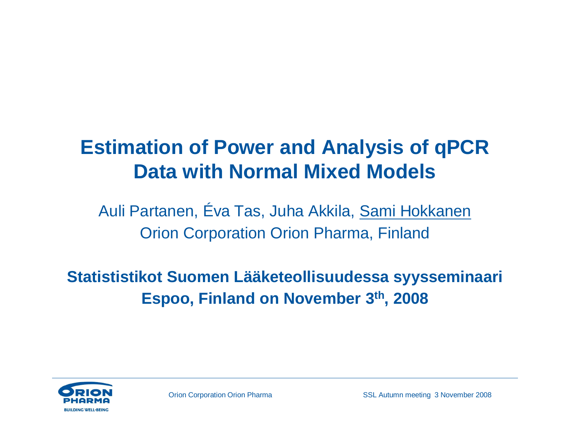#### **Estimation of Power and Analysis of qPCR Data with Normal Mixed Models**

Auli Partanen, Éva Tas, Juha Akkila, Sami Hokkanen Orion Corporation Orion Pharma, Finland

**Statististikot Suomen Lääketeollisuudessa syysseminaari Espoo, Finland on November 3th, 2008**

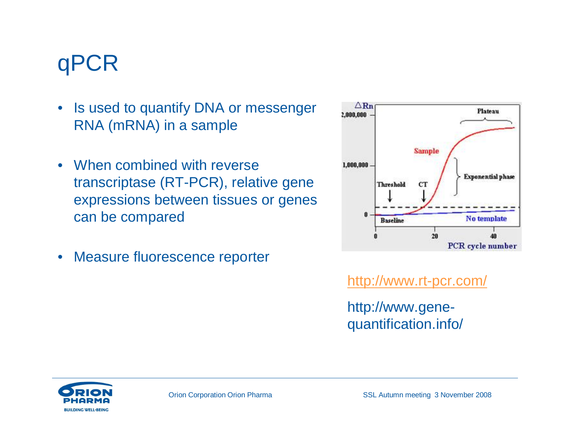### qPCR

- Is used to quantify DNA or messenger RNA (mRNA) in a sample
- When combined with reverse transcriptase (RT-PCR), relative gene expressions between tissues or genes can be compared
- Measure fluorescence reporter



<http://www.rt-pcr.com/>

[http://www.gene](http://www.gene-)quantification.info/

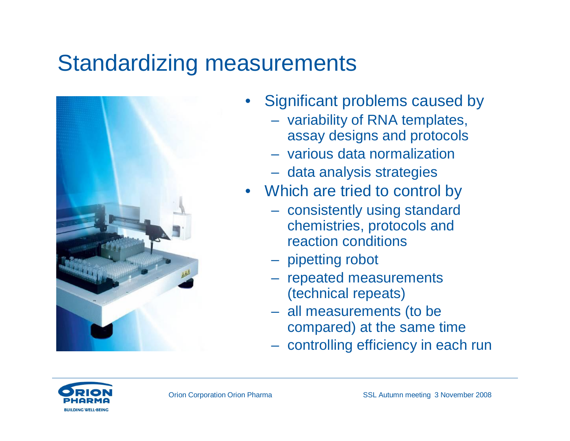#### Standardizing measurements



- Significant problems caused by
	- variability of RNA templates, assay designs and protocols
	- various data normalization
	- data analysis strategies
- Which are tried to control by
	- consistently using standard chemistries, protocols and reaction conditions
	- pipetting robot
	- repeated measurements (technical repeats)
	- all measurements (to be compared) at the same time
	- controlling efficiency in each run

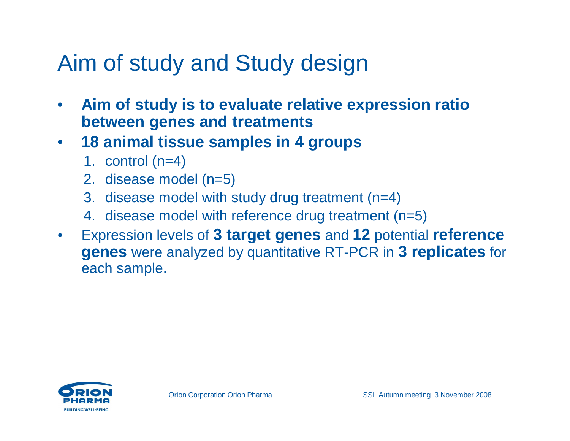#### Aim of study and Study design

- **Aim of study is to evaluate relative expression ratio between genes and treatments**
- **18 animal tissue samples in 4 groups**
	- 1. control (n=4)
	- 2. disease model (n=5)
	- 3. disease model with study drug treatment (n=4)
	- 4. disease model with reference drug treatment (n=5)
- Expression levels of **3 target genes** and **12** potential **reference genes** were analyzed by quantitative RT-PCR in **3 replicates** for each sample.

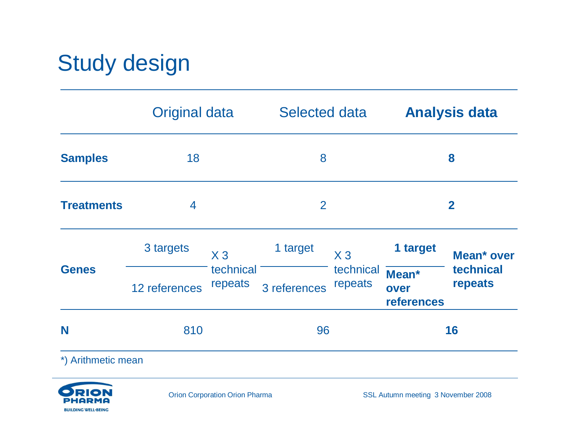## Study design

|                    | <b>Original data</b> |                      | <b>Selected data</b> |                      | <b>Analysis data</b>               |                                    |
|--------------------|----------------------|----------------------|----------------------|----------------------|------------------------------------|------------------------------------|
| <b>Samples</b>     | 18                   |                      | 8                    |                      | 8                                  |                                    |
| <b>Treatments</b>  | 4                    |                      | 2                    |                      | $\mathbf{2}$                       |                                    |
| <b>Genes</b>       | 3 targets            | $X_3$                | 1 target             | $X_3$                | 1 target                           | Mean* over<br>technical<br>repeats |
|                    | 12 references        | technical<br>repeats | 3 references         | technical<br>repeats | Mean*<br>over<br><b>references</b> |                                    |
| N                  | 810                  |                      | 96                   |                      | 16                                 |                                    |
| *) Arithmetic mean |                      |                      |                      |                      |                                    |                                    |

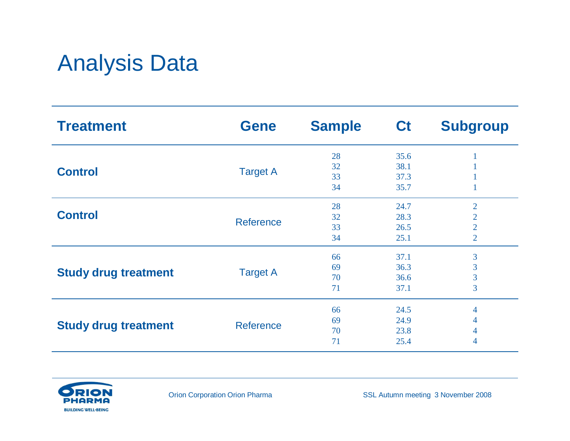### Analysis Data

| <b>Treatment</b>            | <b>Gene</b>      | <b>Sample</b> | <b>Ct</b>    | <b>Subgroup</b> |
|-----------------------------|------------------|---------------|--------------|-----------------|
|                             |                  | 28            | 35.6         |                 |
| <b>Control</b>              | <b>Target A</b>  | 32            | 38.1         |                 |
|                             |                  | 33<br>34      | 37.3<br>35.7 |                 |
|                             |                  | 28            | 24.7         | $\overline{2}$  |
| <b>Control</b>              |                  | 32            | 28.3         | $\overline{2}$  |
|                             | <b>Reference</b> | 33            | 26.5         | $\overline{2}$  |
|                             |                  | 34            | 25.1         | $\overline{2}$  |
|                             |                  | 66            | 37.1         | 3               |
|                             |                  | 69            | 36.3         | 3               |
| <b>Study drug treatment</b> | <b>Target A</b>  | 70            | 36.6         | $\overline{3}$  |
|                             |                  | 71            | 37.1         | 3               |
|                             |                  | 66            | 24.5         | 4               |
|                             |                  | 69            | 24.9         | 4               |
| <b>Study drug treatment</b> | <b>Reference</b> | 70            | 23.8         | 4               |
|                             |                  | 71            | 25.4         | 4               |

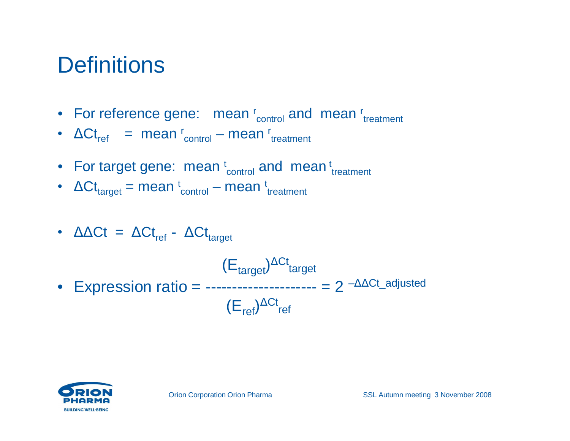#### **Definitions**

- For reference gene: mean r<sub>control</sub> and mean r<sub>treatment</sub>
- $\Delta Ct_{ref}$  = mean  $r_{control}$  mean  $r_{treatment}$
- For target gene: mean  $t_{control}$  and mean  $t_{reatment}$
- $\Delta \mathsf{C} t_{\text{target}}$  = mean  $\text{C}_{\text{control}}$  mean  $\text{C}_{\text{treatment}}$
- $\Delta \Delta \text{C}t = \Delta \text{C}t_{\text{ref}} \Delta \text{C}t_{\text{target}}$

 $(\mathsf{E}_{\mathsf{target}})^{\Delta \mathsf{C} \mathsf{t}}$ target • Expression ratio =  $-- -- = 2 - \Delta \Delta C t$ \_adjusted  $(E_{\text{ref}})^{\Delta Ct}$ ref

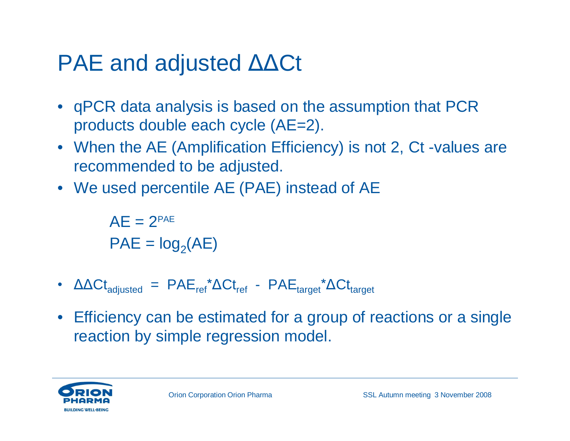#### $PAE$  and adjusted  $\triangle \triangle Ct$

- qPCR data analysis is based on the assumption that PCR products double each cycle (AE=2).
- When the AE (Amplification Efficiency) is not 2, Ct -values are recommended to be adjusted.
- We used percentile AE (PAE) instead of AE

 $AF = 2^{PAE}$  $PAE = log<sub>2</sub>(AE)$ 

- $\Delta \Delta \text{C}_{\text{adjusted}} = \text{PAE}_{\text{ref}} \Delta \text{C}_{\text{teref}} \text{PAE}_{\text{target}} \Delta \text{C}_{\text{taref}}$
- Efficiency can be estimated for a group of reactions or a single reaction by simple regression model.

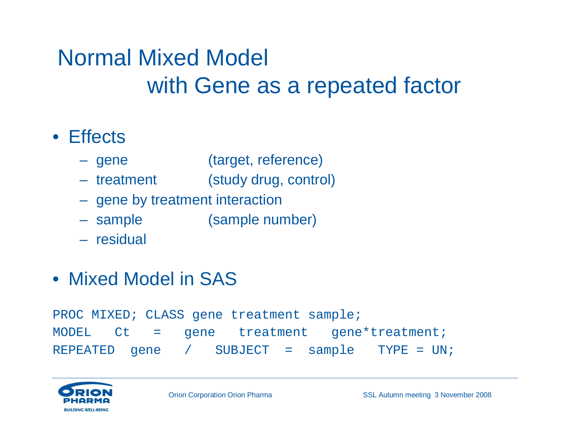### Normal Mixed Model with Gene as a repeated factor

#### • Effects

- gene (target, reference)
- treatment (study drug, control)
- gene by treatment interaction
- sample (sample number)
- residual
- Mixed Model in SAS

PROC MIXED; CLASS gene treatment sample; MODEL Ct = gene treatment gene\*treatment; REPEATED gene / SUBJECT = sample TYPE = UN;

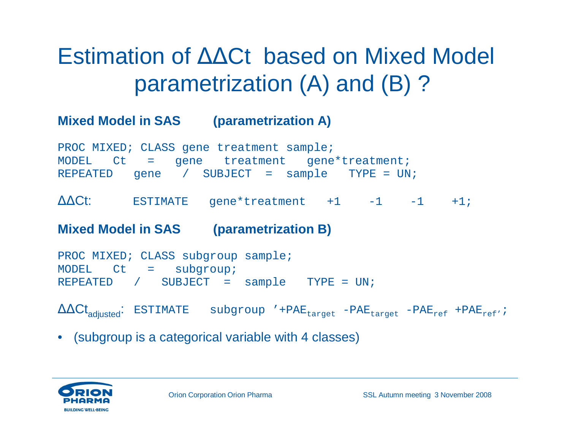### Estimation of ΔΔCt based on Mixed Model parametrization (A) and (B) ?

#### **Mixed Model in SAS (parametrization A)**

PROC MIXED; CLASS gene treatment sample; MODEL Ct = gene treatment gene\*treatment; REPEATED gene / SUBJECT = sample TYPE = UN;

△△Ct: ESTIMATE gene\*treatment +1 -1 -1 +1;

**Mixed Model in SAS (parametrization B)**

```
PROC MIXED; CLASS subgroup sample;
MODEL Ct = subgroup;
REPEATED / SUBJECT = sample TYPE = UN;
```
 $\Delta\Delta\text{Ct}_{\text{adjusted}}$ : ESTIMATE subgroup '+PAE<sub>target</sub> -PAE<sub>target</sub> -PAE<sub>ref</sub> +PAE<sub>ref'</sub>;

• (subgroup is a categorical variable with 4 classes)

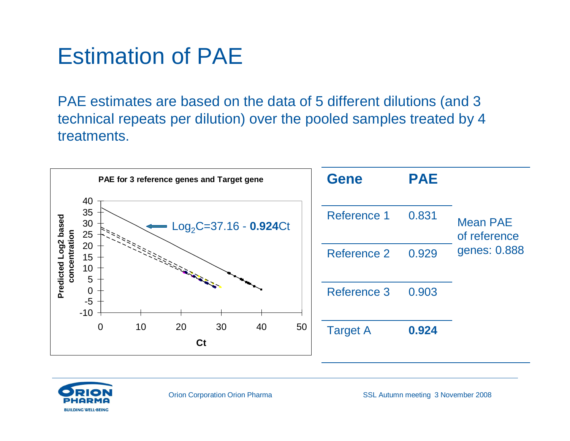#### Estimation of PAE

PAE estimates are based on the data of 5 different dilutions (and 3 technical repeats per dilution) over the pooled samples treated by 4 treatments.



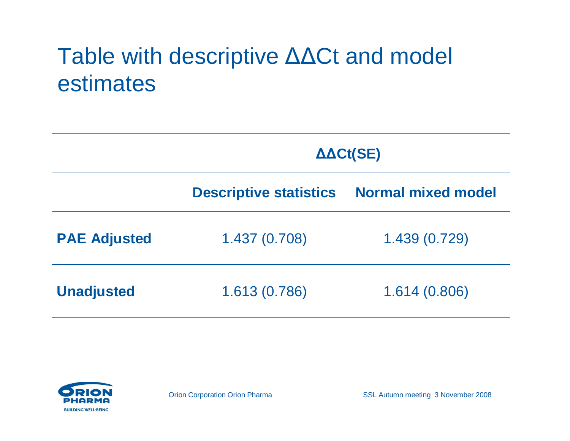### Table with descriptive  $\Delta\Delta Ct$  and model estimates

|                     | $\Delta \Delta \text{Ct}(\text{SE})$ |                           |  |  |
|---------------------|--------------------------------------|---------------------------|--|--|
|                     | <b>Descriptive statistics</b>        | <b>Normal mixed model</b> |  |  |
| <b>PAE Adjusted</b> | 1.437(0.708)                         | 1.439 (0.729)             |  |  |
| <b>Unadjusted</b>   | 1.613 (0.786)                        | 1.614(0.806)              |  |  |

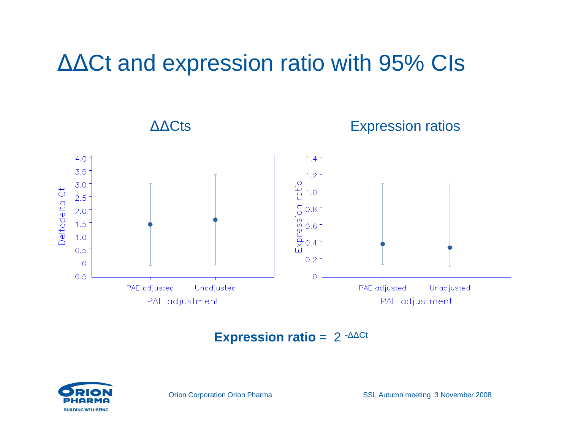#### $ΔΔCt$  and expression ratio with 95% CIs

#### ΔΔCts **Expression ratios**



#### **Expression ratio** =  $2 - \triangle \triangle Ct$

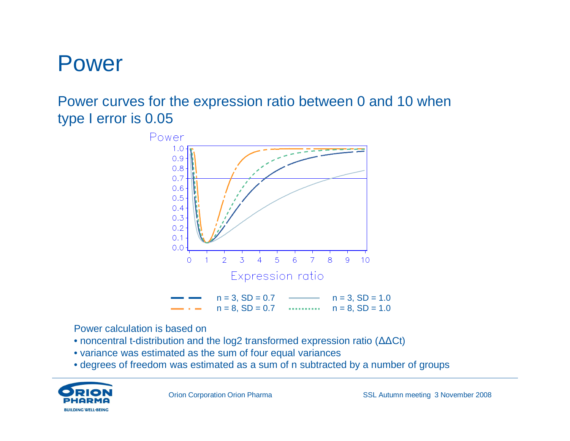#### Power

#### Power curves for the expression ratio between 0 and 10 when type I error is 0.05



Power calculation is based on

- noncentral t-distribution and the log2 transformed expression ratio  $(\Delta \Delta \text{Ct})$
- variance was estimated as the sum of four equal variances
- degrees of freedom was estimated as a sum of n subtracted by a number of groups

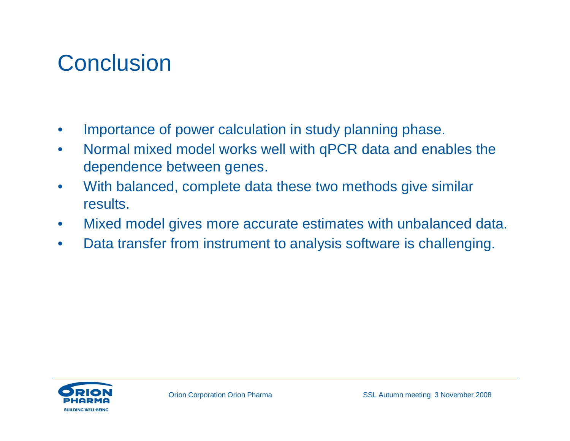### **Conclusion**

- Importance of power calculation in study planning phase.
- Normal mixed model works well with qPCR data and enables the dependence between genes.
- With balanced, complete data these two methods give similar results.
- Mixed model gives more accurate estimates with unbalanced data.
- Data transfer from instrument to analysis software is challenging.

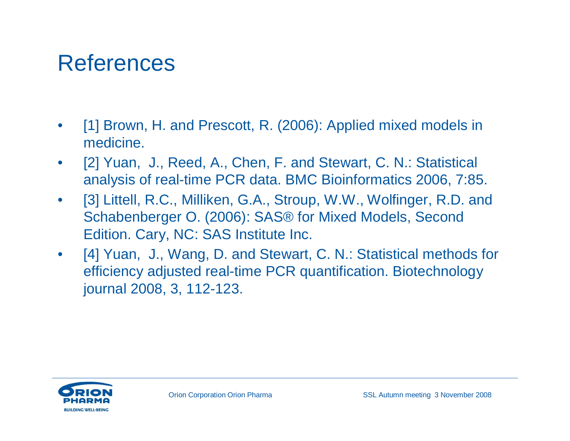#### References

- [1] Brown, H. and Prescott, R. (2006): Applied mixed models in medicine.
- [2] Yuan, J., Reed, A., Chen, F. and Stewart, C. N.: Statistical analysis of real-time PCR data. BMC Bioinformatics 2006, 7:85.
- [3] Littell, R.C., Milliken, G.A., Stroup, W.W., Wolfinger, R.D. and Schabenberger O. (2006): SAS® for Mixed Models, Second Edition. Cary, NC: SAS Institute Inc.
- [4] Yuan, J., Wang, D. and Stewart, C. N.: Statistical methods for efficiency adjusted real-time PCR quantification. Biotechnology journal 2008, 3, 112-123.